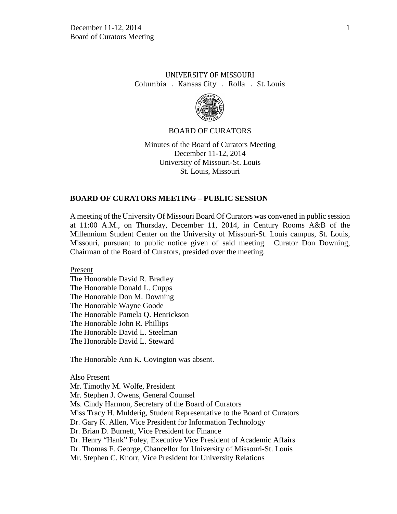# UNIVERSITY OF MISSOURI Columbia . Kansas City . Rolla . St. Louis



#### BOARD OF CURATORS

Minutes of the Board of Curators Meeting December 11-12, 2014 University of Missouri-St. Louis St. Louis, Missouri

### **BOARD OF CURATORS MEETING – PUBLIC SESSION**

A meeting of the University Of Missouri Board Of Curators was convened in public session at 11:00 A.M., on Thursday, December 11, 2014, in Century Rooms A&B of the Millennium Student Center on the University of Missouri-St. Louis campus, St. Louis, Missouri, pursuant to public notice given of said meeting. Curator Don Downing, Chairman of the Board of Curators, presided over the meeting.

Present

The Honorable David R. Bradley The Honorable Donald L. Cupps The Honorable Don M. Downing The Honorable Wayne Goode The Honorable Pamela Q. Henrickson The Honorable John R. Phillips The Honorable David L. Steelman The Honorable David L. Steward

The Honorable Ann K. Covington was absent.

Also Present Mr. Timothy M. Wolfe, President Mr. Stephen J. Owens, General Counsel Ms. Cindy Harmon, Secretary of the Board of Curators Miss Tracy H. Mulderig, Student Representative to the Board of Curators Dr. Gary K. Allen, Vice President for Information Technology Dr. Brian D. Burnett, Vice President for Finance Dr. Henry "Hank" Foley, Executive Vice President of Academic Affairs Dr. Thomas F. George, Chancellor for University of Missouri-St. Louis Mr. Stephen C. Knorr, Vice President for University Relations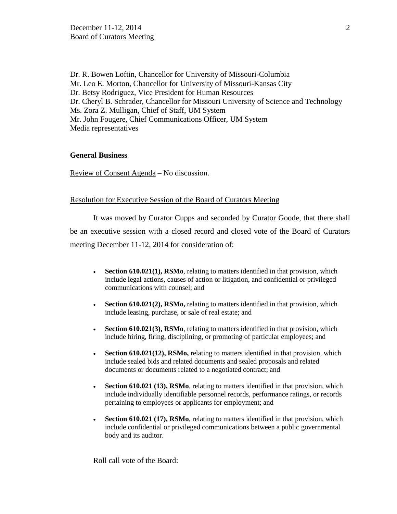Dr. R. Bowen Loftin, Chancellor for University of Missouri-Columbia Mr. Leo E. Morton, Chancellor for University of Missouri-Kansas City Dr. Betsy Rodriguez, Vice President for Human Resources Dr. Cheryl B. Schrader, Chancellor for Missouri University of Science and Technology Ms. Zora Z. Mulligan, Chief of Staff, UM System Mr. John Fougere, Chief Communications Officer, UM System Media representatives

## **General Business**

Review of Consent Agenda – No discussion.

# Resolution for Executive Session of the Board of Curators Meeting

It was moved by Curator Cupps and seconded by Curator Goode, that there shall be an executive session with a closed record and closed vote of the Board of Curators meeting December 11-12, 2014 for consideration of:

- **Section 610.021(1), RSMo**, relating to matters identified in that provision, which include legal actions, causes of action or litigation, and confidential or privileged communications with counsel; and
- **Section 610.021(2), RSMo,** relating to matters identified in that provision, which include leasing, purchase, or sale of real estate; and
- **Section 610.021(3), RSMo**, relating to matters identified in that provision, which include hiring, firing, disciplining, or promoting of particular employees; and
- **Section 610.021(12), RSMo,** relating to matters identified in that provision, which include sealed bids and related documents and sealed proposals and related documents or documents related to a negotiated contract; and
- **Section 610.021 (13), RSMo**, relating to matters identified in that provision, which include individually identifiable personnel records, performance ratings, or records pertaining to employees or applicants for employment; and
- **Section 610.021 (17), RSMo**, relating to matters identified in that provision, which include confidential or privileged communications between a public governmental body and its auditor.

Roll call vote of the Board: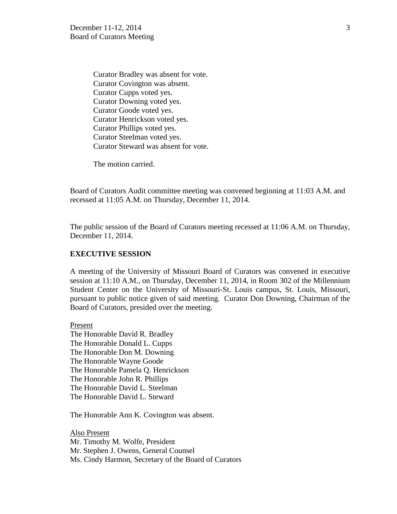Curator Bradley was absent for vote. Curator Covington was absent. Curator Cupps voted yes. Curator Downing voted yes. Curator Goode voted yes. Curator Henrickson voted yes. Curator Phillips voted yes. Curator Steelman voted yes. Curator Steward was absent for vote.

The motion carried.

Board of Curators Audit committee meeting was convened beginning at 11:03 A.M. and recessed at 11:05 A.M. on Thursday, December 11, 2014.

The public session of the Board of Curators meeting recessed at 11:06 A.M. on Thursday, December 11, 2014.

#### **EXECUTIVE SESSION**

A meeting of the University of Missouri Board of Curators was convened in executive session at 11:10 A.M., on Thursday, December 11, 2014, in Room 302 of the Millennium Student Center on the University of Missouri-St. Louis campus, St. Louis, Missouri, pursuant to public notice given of said meeting. Curator Don Downing, Chairman of the Board of Curators, presided over the meeting.

Present The Honorable David R. Bradley The Honorable Donald L. Cupps The Honorable Don M. Downing The Honorable Wayne Goode The Honorable Pamela Q. Henrickson The Honorable John R. Phillips The Honorable David L. Steelman The Honorable David L. Steward

The Honorable Ann K. Covington was absent.

Also Present Mr. Timothy M. Wolfe, President Mr. Stephen J. Owens, General Counsel Ms. Cindy Harmon, Secretary of the Board of Curators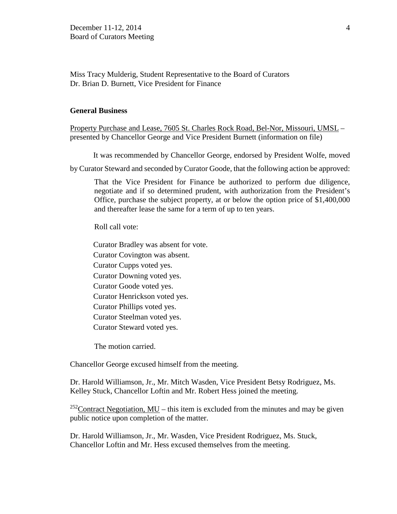Miss Tracy Mulderig, Student Representative to the Board of Curators Dr. Brian D. Burnett, Vice President for Finance

### **General Business**

Property Purchase and Lease, 7605 St. Charles Rock Road, Bel-Nor, Missouri, UMSL – presented by Chancellor George and Vice President Burnett (information on file)

It was recommended by Chancellor George, endorsed by President Wolfe, moved

by Curator Steward and seconded by Curator Goode, that the following action be approved:

That the Vice President for Finance be authorized to perform due diligence, negotiate and if so determined prudent, with authorization from the President's Office, purchase the subject property, at or below the option price of \$1,400,000 and thereafter lease the same for a term of up to ten years.

Roll call vote:

Curator Bradley was absent for vote. Curator Covington was absent. Curator Cupps voted yes. Curator Downing voted yes. Curator Goode voted yes. Curator Henrickson voted yes. Curator Phillips voted yes. Curator Steelman voted yes. Curator Steward voted yes.

The motion carried.

Chancellor George excused himself from the meeting.

Dr. Harold Williamson, Jr., Mr. Mitch Wasden, Vice President Betsy Rodriguez, Ms. Kelley Stuck, Chancellor Loftin and Mr. Robert Hess joined the meeting.

<sup>252</sup>Contract Negotiation,  $MU$  – this item is excluded from the minutes and may be given public notice upon completion of the matter.

Dr. Harold Williamson, Jr., Mr. Wasden, Vice President Rodriguez, Ms. Stuck, Chancellor Loftin and Mr. Hess excused themselves from the meeting.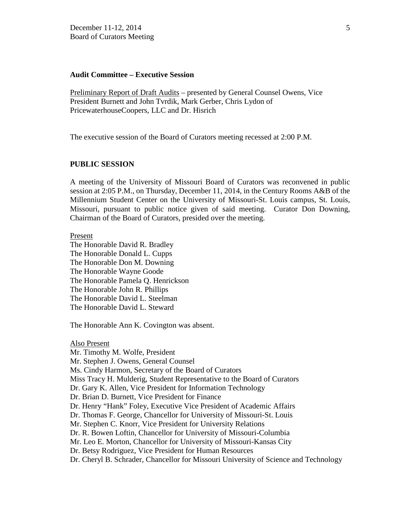### **Audit Committee – Executive Session**

Preliminary Report of Draft Audits – presented by General Counsel Owens, Vice President Burnett and John Tvrdik, Mark Gerber, Chris Lydon of PricewaterhouseCoopers, LLC and Dr. Hisrich

The executive session of the Board of Curators meeting recessed at 2:00 P.M.

# **PUBLIC SESSION**

A meeting of the University of Missouri Board of Curators was reconvened in public session at 2:05 P.M., on Thursday, December 11, 2014, in the Century Rooms A&B of the Millennium Student Center on the University of Missouri-St. Louis campus, St. Louis, Missouri, pursuant to public notice given of said meeting. Curator Don Downing, Chairman of the Board of Curators, presided over the meeting.

### Present

The Honorable David R. Bradley The Honorable Donald L. Cupps The Honorable Don M. Downing The Honorable Wayne Goode The Honorable Pamela Q. Henrickson The Honorable John R. Phillips The Honorable David L. Steelman The Honorable David L. Steward

The Honorable Ann K. Covington was absent.

Also Present Mr. Timothy M. Wolfe, President Mr. Stephen J. Owens, General Counsel Ms. Cindy Harmon, Secretary of the Board of Curators Miss Tracy H. Mulderig, Student Representative to the Board of Curators Dr. Gary K. Allen, Vice President for Information Technology Dr. Brian D. Burnett, Vice President for Finance Dr. Henry "Hank" Foley, Executive Vice President of Academic Affairs Dr. Thomas F. George, Chancellor for University of Missouri-St. Louis Mr. Stephen C. Knorr, Vice President for University Relations Dr. R. Bowen Loftin, Chancellor for University of Missouri-Columbia Mr. Leo E. Morton, Chancellor for University of Missouri-Kansas City Dr. Betsy Rodriguez, Vice President for Human Resources Dr. Cheryl B. Schrader, Chancellor for Missouri University of Science and Technology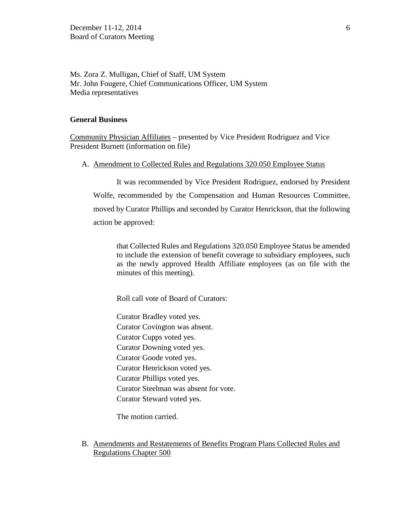Ms. Zora Z. Mulligan, Chief of Staff, UM System Mr. John Fougere, Chief Communications Officer, UM System Media representatives

#### **General Business**

Community Physician Affiliates – presented by Vice President Rodriguez and Vice President Burnett (information on file)

### A. Amendment to Collected Rules and Regulations 320.050 Employee Status

It was recommended by Vice President Rodriguez, endorsed by President Wolfe, recommended by the Compensation and Human Resources Committee, moved by Curator Phillips and seconded by Curator Henrickson, that the following action be approved:

that Collected Rules and Regulations 320.050 Employee Status be amended to include the extension of benefit coverage to subsidiary employees, such as the newly approved Health Affiliate employees (as on file with the minutes of this meeting).

Roll call vote of Board of Curators:

Curator Bradley voted yes. Curator Covington was absent. Curator Cupps voted yes. Curator Downing voted yes. Curator Goode voted yes. Curator Henrickson voted yes. Curator Phillips voted yes. Curator Steelman was absent for vote. Curator Steward voted yes.

The motion carried.

### B. Amendments and Restatements of Benefits Program Plans Collected Rules and Regulations Chapter 500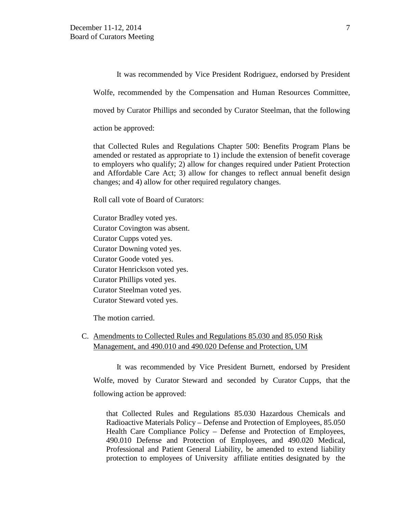It was recommended by Vice President Rodriguez, endorsed by President

Wolfe, recommended by the Compensation and Human Resources Committee,

moved by Curator Phillips and seconded by Curator Steelman, that the following

action be approved:

that Collected Rules and Regulations Chapter 500: Benefits Program Plans be amended or restated as appropriate to 1) include the extension of benefit coverage to employers who qualify; 2) allow for changes required under Patient Protection and Affordable Care Act; 3) allow for changes to reflect annual benefit design changes; and 4) allow for other required regulatory changes.

Roll call vote of Board of Curators:

Curator Bradley voted yes. Curator Covington was absent. Curator Cupps voted yes. Curator Downing voted yes. Curator Goode voted yes. Curator Henrickson voted yes. Curator Phillips voted yes. Curator Steelman voted yes. Curator Steward voted yes.

The motion carried.

# C. Amendments to Collected Rules and Regulations 85.030 and 85.050 Risk Management, and 490.010 and 490.020 Defense and Protection, UM

It was recommended by Vice President Burnett, endorsed by President Wolfe, moved by Curator Steward and seconded by Curator Cupps, that the following action be approved:

that Collected Rules and Regulations 85.030 Hazardous Chemicals and Radioactive Materials Policy – Defense and Protection of Employees, 85.050 Health Care Compliance Policy – Defense and Protection of Employees, 490.010 Defense and Protection of Employees, and 490.020 Medical, Professional and Patient General Liability, be amended to extend liability protection to employees of University affiliate entities designated by the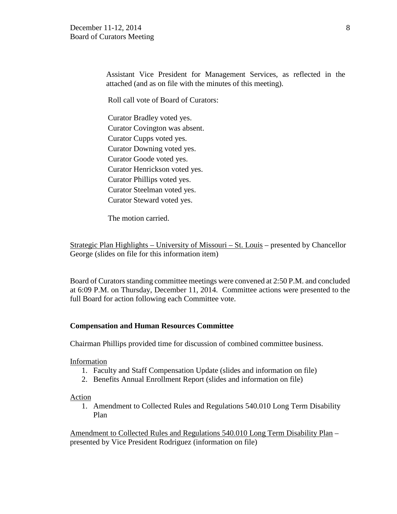Assistant Vice President for Management Services, as reflected in the attached (and as on file with the minutes of this meeting).

Roll call vote of Board of Curators:

Curator Bradley voted yes. Curator Covington was absent. Curator Cupps voted yes. Curator Downing voted yes. Curator Goode voted yes. Curator Henrickson voted yes. Curator Phillips voted yes. Curator Steelman voted yes. Curator Steward voted yes.

The motion carried.

Strategic Plan Highlights – University of Missouri – St. Louis – presented by Chancellor George (slides on file for this information item)

Board of Curators standing committee meetings were convened at 2:50 P.M. and concluded at 6:09 P.M. on Thursday, December 11, 2014. Committee actions were presented to the full Board for action following each Committee vote.

### **Compensation and Human Resources Committee**

Chairman Phillips provided time for discussion of combined committee business.

Information

- 1. Faculty and Staff Compensation Update (slides and information on file)
- 2. Benefits Annual Enrollment Report (slides and information on file)

### Action

1. Amendment to Collected Rules and Regulations 540.010 Long Term Disability Plan

Amendment to Collected Rules and Regulations 540.010 Long Term Disability Plan – presented by Vice President Rodriguez (information on file)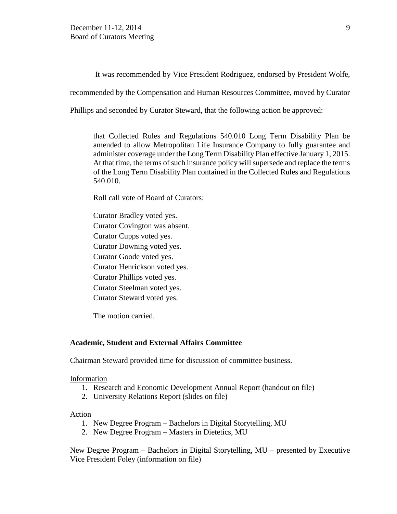It was recommended by Vice President Rodriguez, endorsed by President Wolfe,

recommended by the Compensation and Human Resources Committee, moved by Curator

Phillips and seconded by Curator Steward, that the following action be approved:

that Collected Rules and Regulations 540.010 Long Term Disability Plan be amended to allow Metropolitan Life Insurance Company to fully guarantee and administer coverage under the Long Term Disability Plan effective January 1, 2015. At that time, the terms of such insurance policy will supersede and replace the terms of the Long Term Disability Plan contained in the Collected Rules and Regulations 540.010.

Roll call vote of Board of Curators:

Curator Bradley voted yes. Curator Covington was absent. Curator Cupps voted yes. Curator Downing voted yes. Curator Goode voted yes. Curator Henrickson voted yes. Curator Phillips voted yes. Curator Steelman voted yes. Curator Steward voted yes.

The motion carried.

### **Academic, Student and External Affairs Committee**

Chairman Steward provided time for discussion of committee business.

### Information

- 1. Research and Economic Development Annual Report (handout on file)
- 2. University Relations Report (slides on file)

### Action

- 1. New Degree Program Bachelors in Digital Storytelling, MU
- 2. New Degree Program Masters in Dietetics, MU

New Degree Program – Bachelors in Digital Storytelling, MU – presented by Executive Vice President Foley (information on file)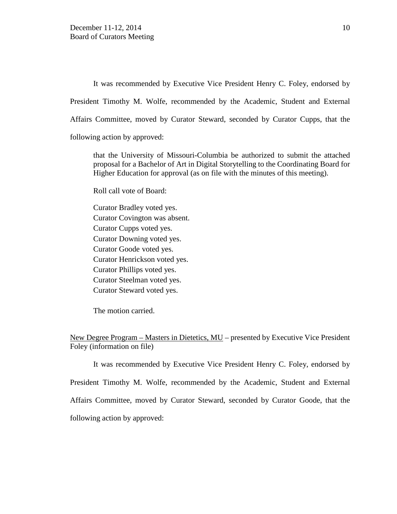It was recommended by Executive Vice President Henry C. Foley, endorsed by President Timothy M. Wolfe, recommended by the Academic, Student and External Affairs Committee, moved by Curator Steward, seconded by Curator Cupps, that the following action by approved:

that the University of Missouri-Columbia be authorized to submit the attached proposal for a Bachelor of Art in Digital Storytelling to the Coordinating Board for Higher Education for approval (as on file with the minutes of this meeting).

Roll call vote of Board:

Curator Bradley voted yes. Curator Covington was absent. Curator Cupps voted yes. Curator Downing voted yes. Curator Goode voted yes. Curator Henrickson voted yes. Curator Phillips voted yes. Curator Steelman voted yes. Curator Steward voted yes.

The motion carried.

New Degree Program – Masters in Dietetics, MU – presented by Executive Vice President Foley (information on file)

It was recommended by Executive Vice President Henry C. Foley, endorsed by President Timothy M. Wolfe, recommended by the Academic, Student and External Affairs Committee, moved by Curator Steward, seconded by Curator Goode, that the following action by approved: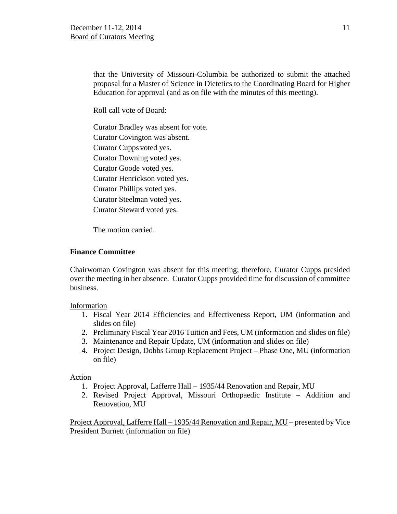that the University of Missouri-Columbia be authorized to submit the attached proposal for a Master of Science in Dietetics to the Coordinating Board for Higher Education for approval (and as on file with the minutes of this meeting).

Roll call vote of Board:

Curator Bradley was absent for vote. Curator Covington was absent.

Curator Cupps voted yes. Curator Downing voted yes.

Curator Goode voted yes.

Curator Henrickson voted yes.

Curator Phillips voted yes.

Curator Steelman voted yes.

Curator Steward voted yes.

The motion carried.

# **Finance Committee**

Chairwoman Covington was absent for this meeting; therefore, Curator Cupps presided over the meeting in her absence. Curator Cupps provided time for discussion of committee business.

# Information

- 1. Fiscal Year 2014 Efficiencies and Effectiveness Report, UM (information and slides on file)
- 2. Preliminary Fiscal Year 2016 Tuition and Fees, UM (information and slides on file)
- 3. Maintenance and Repair Update, UM (information and slides on file)
- 4. Project Design, Dobbs Group Replacement Project Phase One, MU (information on file)

# Action

- 1. Project Approval, Lafferre Hall 1935/44 Renovation and Repair, MU
- 2. Revised Project Approval, Missouri Orthopaedic Institute Addition and Renovation, MU

Project Approval, Lafferre Hall – 1935/44 Renovation and Repair, MU – presented by Vice President Burnett (information on file)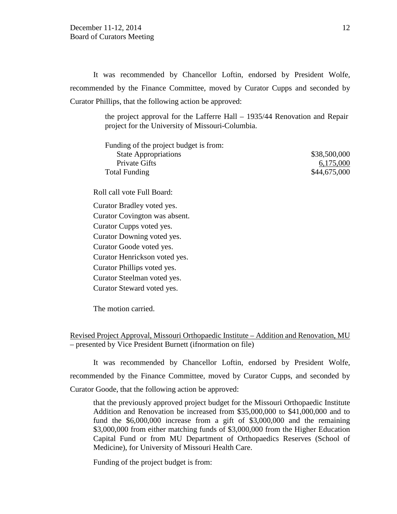It was recommended by Chancellor Loftin, endorsed by President Wolfe, recommended by the Finance Committee, moved by Curator Cupps and seconded by Curator Phillips, that the following action be approved:

> the project approval for the Lafferre Hall – 1935/44 Renovation and Repair project for the University of Missouri-Columbia.

| Funding of the project budget is from: |              |
|----------------------------------------|--------------|
| <b>State Appropriations</b>            | \$38,500,000 |
| <b>Private Gifts</b>                   | 6,175,000    |
| <b>Total Funding</b>                   | \$44,675,000 |
| Roll call vote Full Board:             |              |
| Curator Bradley voted yes.             |              |
| Curator Covington was absent.          |              |
| Curator Cupps voted yes.               |              |
| Curator Downing voted yes.             |              |
| Curator Goode voted yes.               |              |
| Curator Henrickson voted yes.          |              |
| Curator Phillips voted yes.            |              |
| Curator Steelman voted yes.            |              |
| Curator Steward voted yes.             |              |
|                                        |              |

The motion carried.

Revised Project Approval, Missouri Orthopaedic Institute – Addition and Renovation, MU – presented by Vice President Burnett (ifnormation on file)

It was recommended by Chancellor Loftin, endorsed by President Wolfe, recommended by the Finance Committee, moved by Curator Cupps, and seconded by Curator Goode, that the following action be approved:

that the previously approved project budget for the Missouri Orthopaedic Institute Addition and Renovation be increased from \$35,000,000 to \$41,000,000 and to fund the \$6,000,000 increase from a gift of \$3,000,000 and the remaining \$3,000,000 from either matching funds of \$3,000,000 from the Higher Education Capital Fund or from MU Department of Orthopaedics Reserves (School of Medicine), for University of Missouri Health Care.

Funding of the project budget is from: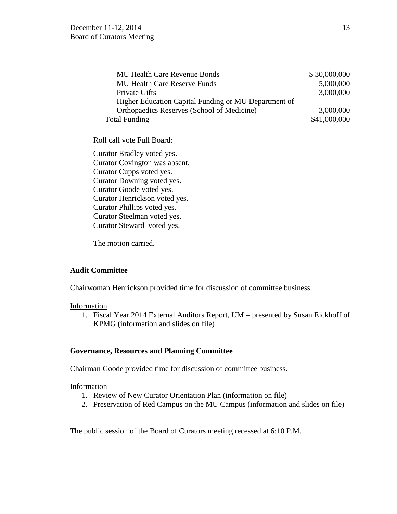| <b>MU Health Care Revenue Bonds</b>                  | \$30,000,000 |
|------------------------------------------------------|--------------|
| <b>MU Health Care Reserve Funds</b>                  | 5,000,000    |
| <b>Private Gifts</b>                                 | 3,000,000    |
| Higher Education Capital Funding or MU Department of |              |
| Orthopaedics Reserves (School of Medicine)           | 3,000,000    |
| <b>Total Funding</b>                                 | \$41,000,000 |

Roll call vote Full Board:

Curator Bradley voted yes. Curator Covington was absent. Curator Cupps voted yes. Curator Downing voted yes. Curator Goode voted yes. Curator Henrickson voted yes. Curator Phillips voted yes. Curator Steelman voted yes. Curator Steward voted yes.

The motion carried.

# **Audit Committee**

Chairwoman Henrickson provided time for discussion of committee business.

# Information

1. Fiscal Year 2014 External Auditors Report, UM – presented by Susan Eickhoff of KPMG (information and slides on file)

# **Governance, Resources and Planning Committee**

Chairman Goode provided time for discussion of committee business.

# Information

- 1. Review of New Curator Orientation Plan (information on file)
- 2. Preservation of Red Campus on the MU Campus (information and slides on file)

The public session of the Board of Curators meeting recessed at 6:10 P.M.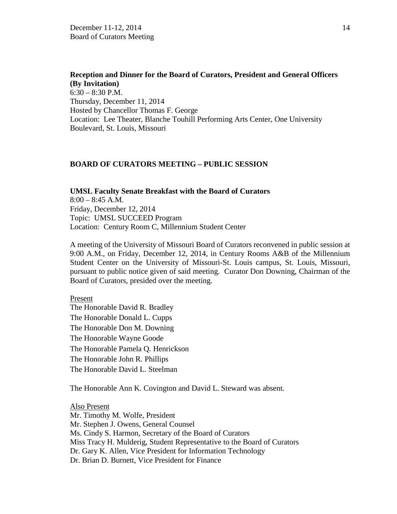**Reception and Dinner for the Board of Curators, President and General Officers (By Invitation)**  $6:30 - 8:30$  P.M. Thursday, December 11, 2014 Hosted by Chancellor Thomas F. George Location: Lee Theater, Blanche Touhill Performing Arts Center, One University Boulevard, St. Louis, Missouri

#### **BOARD OF CURATORS MEETING – PUBLIC SESSION**

**UMSL Faculty Senate Breakfast with the Board of Curators**  $8:00 - 8:45$  A.M. Friday, December 12, 2014 Topic: UMSL SUCCEED Program Location: Century Room C, Millennium Student Center

A meeting of the University of Missouri Board of Curators reconvened in public session at 9:00 A.M., on Friday, December 12, 2014, in Century Rooms A&B of the Millennium Student Center on the University of Missouri-St. Louis campus, St. Louis, Missouri, pursuant to public notice given of said meeting. Curator Don Downing, Chairman of the Board of Curators, presided over the meeting.

#### Present

The Honorable David R. Bradley The Honorable Donald L. Cupps The Honorable Don M. Downing The Honorable Wayne Goode The Honorable Pamela Q. Henrickson The Honorable John R. Phillips The Honorable David L. Steelman

The Honorable Ann K. Covington and David L. Steward was absent.

Also Present Mr. Timothy M. Wolfe, President Mr. Stephen J. Owens, General Counsel Ms. Cindy S. Harmon, Secretary of the Board of Curators Miss Tracy H. Mulderig, Student Representative to the Board of Curators Dr. Gary K. Allen, Vice President for Information Technology Dr. Brian D. Burnett, Vice President for Finance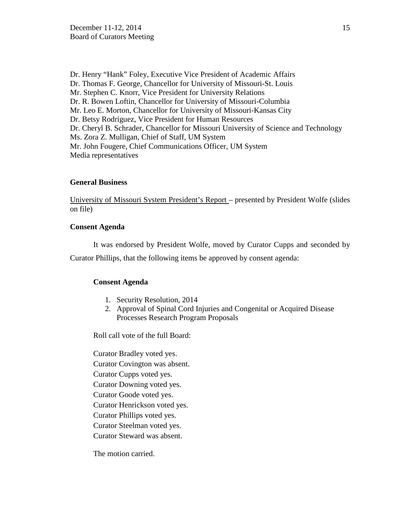Dr. Henry "Hank" Foley, Executive Vice President of Academic Affairs Dr. Thomas F. George, Chancellor for University of Missouri-St. Louis Mr. Stephen C. Knorr, Vice President for University Relations Dr. R. Bowen Loftin, Chancellor for University of Missouri-Columbia Mr. Leo E. Morton, Chancellor for University of Missouri-Kansas City Dr. Betsy Rodriguez, Vice President for Human Resources Dr. Cheryl B. Schrader, Chancellor for Missouri University of Science and Technology Ms. Zora Z. Mulligan, Chief of Staff, UM System Mr. John Fougere, Chief Communications Officer, UM System Media representatives

# **General Business**

University of Missouri System President's Report – presented by President Wolfe (slides on file)

### **Consent Agenda**

It was endorsed by President Wolfe, moved by Curator Cupps and seconded by

Curator Phillips, that the following items be approved by consent agenda:

### **Consent Agenda**

- 1. Security Resolution, 2014
- 2. Approval of Spinal Cord Injuries and Congenital or Acquired Disease Processes Research Program Proposals

Roll call vote of the full Board:

Curator Bradley voted yes. Curator Covington was absent. Curator Cupps voted yes. Curator Downing voted yes. Curator Goode voted yes. Curator Henrickson voted yes. Curator Phillips voted yes. Curator Steelman voted yes. Curator Steward was absent. The motion carried.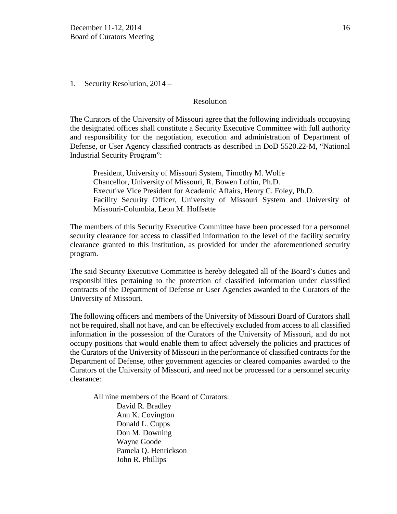1. Security Resolution, 2014 –

### Resolution

The Curators of the University of Missouri agree that the following individuals occupying the designated offices shall constitute a Security Executive Committee with full authority and responsibility for the negotiation, execution and administration of Department of Defense, or User Agency classified contracts as described in DoD 5520.22-M, "National Industrial Security Program":

President, University of Missouri System, Timothy M. Wolfe Chancellor, University of Missouri, R. Bowen Loftin, Ph.D. Executive Vice President for Academic Affairs, Henry C. Foley, Ph.D. Facility Security Officer, University of Missouri System and University of Missouri-Columbia, Leon M. Hoffsette

The members of this Security Executive Committee have been processed for a personnel security clearance for access to classified information to the level of the facility security clearance granted to this institution, as provided for under the aforementioned security program.

The said Security Executive Committee is hereby delegated all of the Board's duties and responsibilities pertaining to the protection of classified information under classified contracts of the Department of Defense or User Agencies awarded to the Curators of the University of Missouri.

The following officers and members of the University of Missouri Board of Curators shall not be required, shall not have, and can be effectively excluded from access to all classified information in the possession of the Curators of the University of Missouri, and do not occupy positions that would enable them to affect adversely the policies and practices of the Curators of the University of Missouri in the performance of classified contracts for the Department of Defense, other government agencies or cleared companies awarded to the Curators of the University of Missouri, and need not be processed for a personnel security clearance:

All nine members of the Board of Curators: [David R. Bradley](http://www.umsystem.edu/curators/members/bradleyd) Ann K. Covington [Donald L. Cupps](http://www.umsystem.edu/curators/members/cuppsd) [Don M. Downing](http://www.umsystem.edu/curators/members/downingd) [Wayne Goode](http://www.umsystem.edu/curators/members/goodew) Pamela Q. Henrickson John R. Phillips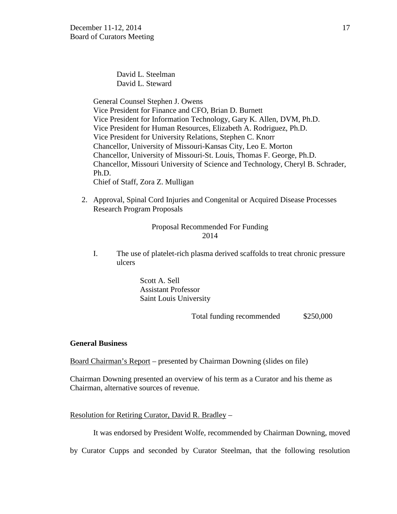David L. Steelman [David L. Steward](http://www.umsystem.edu/curators/members/stewardd)

General Counsel Stephen J. Owens Vice President for Finance and CFO, Brian D. Burnett Vice President for Information Technology, Gary K. Allen, DVM, Ph.D. Vice President for Human Resources, Elizabeth A. Rodriguez, Ph.D. Vice President for University Relations, Stephen C. Knorr Chancellor, University of Missouri-Kansas City, Leo E. Morton Chancellor, University of Missouri-St. Louis, Thomas F. George, Ph.D. Chancellor, Missouri University of Science and Technology, Cheryl B. Schrader, Ph.D. Chief of Staff, Zora Z. Mulligan

2. Approval, Spinal Cord Injuries and Congenital or Acquired Disease Processes Research Program Proposals

# Proposal Recommended For Funding 2014

I. The use of platelet-rich plasma derived scaffolds to treat chronic pressure ulcers

> Scott A. Sell Assistant Professor Saint Louis University

> > Total funding recommended \$250,000

### **General Business**

Board Chairman's Report – presented by Chairman Downing (slides on file)

Chairman Downing presented an overview of his term as a Curator and his theme as Chairman, alternative sources of revenue.

# Resolution for Retiring Curator, David R. Bradley –

It was endorsed by President Wolfe, recommended by Chairman Downing, moved

by Curator Cupps and seconded by Curator Steelman, that the following resolution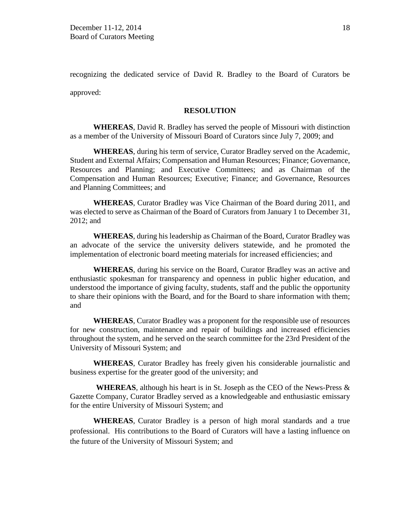recognizing the dedicated service of David R. Bradley to the Board of Curators be approved:

### **RESOLUTION**

**WHEREAS**, David R. Bradley has served the people of Missouri with distinction as a member of the University of Missouri Board of Curators since July 7, 2009; and

**WHEREAS**, during his term of service, Curator Bradley served on the Academic, Student and External Affairs; Compensation and Human Resources; Finance; Governance, Resources and Planning; and Executive Committees; and as Chairman of the Compensation and Human Resources; Executive; Finance; and Governance, Resources and Planning Committees; and

**WHEREAS**, Curator Bradley was Vice Chairman of the Board during 2011, and was elected to serve as Chairman of the Board of Curators from January 1 to December 31, 2012; and

**WHEREAS**, during his leadership as Chairman of the Board, Curator Bradley was an advocate of the service the university delivers statewide, and he promoted the implementation of electronic board meeting materials for increased efficiencies; and

**WHEREAS**, during his service on the Board, Curator Bradley was an active and enthusiastic spokesman for transparency and openness in public higher education, and understood the importance of giving faculty, students, staff and the public the opportunity to share their opinions with the Board, and for the Board to share information with them; and

**WHEREAS**, Curator Bradley was a proponent for the responsible use of resources for new construction, maintenance and repair of buildings and increased efficiencies throughout the system, and he served on the search committee for the 23rd President of the University of Missouri System; and

**WHEREAS**, Curator Bradley has freely given his considerable journalistic and business expertise for the greater good of the university; and

**WHEREAS***,* although his heart is in St. Joseph as the CEO of the News-Press & Gazette Company, Curator Bradley served as a knowledgeable and enthusiastic emissary for the entire University of Missouri System; and

**WHEREAS**, Curator Bradley is a person of high moral standards and a true professional. His contributions to the Board of Curators will have a lasting influence on the future of the University of Missouri System; and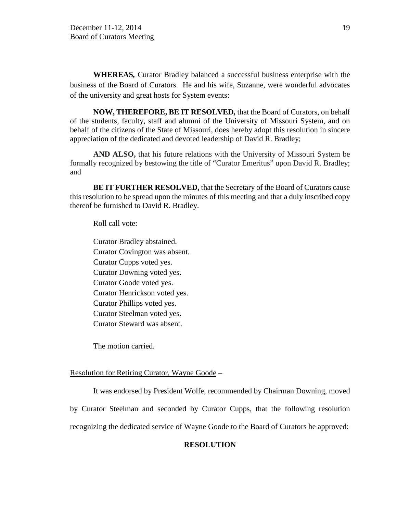**WHEREAS***,* Curator Bradley balanced a successful business enterprise with the business of the Board of Curators. He and his wife, Suzanne, were wonderful advocates of the university and great hosts for System events:

**NOW, THEREFORE, BE IT RESOLVED,** that the Board of Curators, on behalf of the students, faculty, staff and alumni of the University of Missouri System, and on behalf of the citizens of the State of Missouri, does hereby adopt this resolution in sincere appreciation of the dedicated and devoted leadership of David R. Bradley;

**AND ALSO,** that his future relations with the University of Missouri System be formally recognized by bestowing the title of "Curator Emeritus" upon David R. Bradley; and

**BE IT FURTHER RESOLVED,** that the Secretary of the Board of Curators cause this resolution to be spread upon the minutes of this meeting and that a duly inscribed copy thereof be furnished to David R. Bradley.

Roll call vote:

Curator Bradley abstained. Curator Covington was absent. Curator Cupps voted yes. Curator Downing voted yes. Curator Goode voted yes. Curator Henrickson voted yes. Curator Phillips voted yes. Curator Steelman voted yes. Curator Steward was absent.

The motion carried.

# Resolution for Retiring Curator, Wayne Goode –

It was endorsed by President Wolfe, recommended by Chairman Downing, moved by Curator Steelman and seconded by Curator Cupps, that the following resolution recognizing the dedicated service of Wayne Goode to the Board of Curators be approved:

# **RESOLUTION**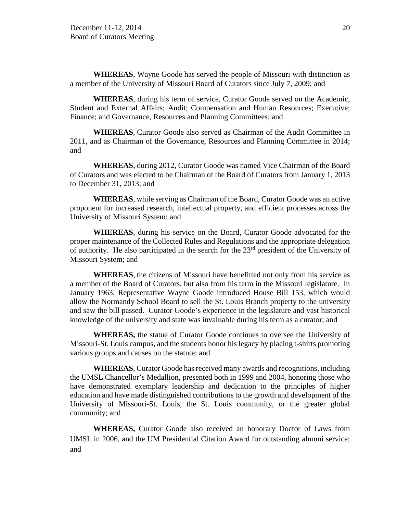**WHEREAS**, Wayne Goode has served the people of Missouri with distinction as a member of the University of Missouri Board of Curators since July 7, 2009; and

**WHEREAS**, during his term of service, Curator Goode served on the Academic, Student and External Affairs; Audit; Compensation and Human Resources; Executive; Finance; and Governance, Resources and Planning Committees; and

**WHEREAS**, Curator Goode also served as Chairman of the Audit Committee in 2011, and as Chairman of the Governance, Resources and Planning Committee in 2014; and

**WHEREAS**, during 2012, Curator Goode was named Vice Chairman of the Board of Curators and was elected to be Chairman of the Board of Curators from January 1, 2013 to December 31, 2013; and

**WHEREAS**, while serving as Chairman of the Board, Curator Goode was an active proponent for increased research, intellectual property, and efficient processes across the University of Missouri System; and

**WHEREAS**, during his service on the Board, Curator Goode advocated for the proper maintenance of the Collected Rules and Regulations and the appropriate delegation of authority. He also participated in the search for the 23rd president of the University of Missouri System; and

**WHEREAS**, the citizens of Missouri have benefitted not only from his service as a member of the Board of Curators, but also from his term in the Missouri legislature. In January 1963, Representative Wayne Goode introduced House Bill 153, which would allow the Normandy School Board to sell the St. Louis Branch property to the university and saw the bill passed. Curator Goode's experience in the legislature and vast historical knowledge of the university and state was invaluable during his term as a curator; and

**WHEREAS,** the statue of Curator Goode continues to oversee the University of Missouri-St. Louis campus, and the students honor his legacy by placing t-shirts promoting various groups and causes on the statute; and

**WHEREAS**, Curator Goode has received many awards and recognitions, including the UMSL Chancellor's Medallion, presented both in 1999 and 2004, honoring those who have demonstrated exemplary leadership and dedication to the principles of higher education and have made distinguished contributions to the growth and development of the University of Missouri-St. Louis, the St. Louis community, or the greater global community; and

**WHEREAS,** Curator Goode also received an honorary Doctor of Laws from UMSL in 2006, and the UM Presidential Citation Award for outstanding alumni service; and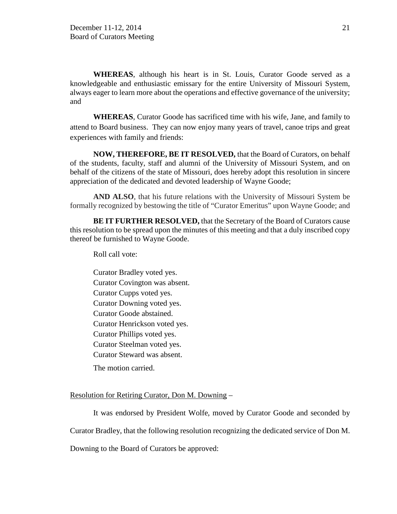**WHEREAS**, although his heart is in St. Louis, Curator Goode served as a knowledgeable and enthusiastic emissary for the entire University of Missouri System, always eager to learn more about the operations and effective governance of the university; and

**WHEREAS**, Curator Goode has sacrificed time with his wife, Jane, and family to attend to Board business. They can now enjoy many years of travel, canoe trips and great experiences with family and friends:

**NOW, THEREFORE, BE IT RESOLVED,** that the Board of Curators, on behalf of the students, faculty, staff and alumni of the University of Missouri System, and on behalf of the citizens of the state of Missouri, does hereby adopt this resolution in sincere appreciation of the dedicated and devoted leadership of Wayne Goode;

**AND ALSO**, that his future relations with the University of Missouri System be formally recognized by bestowing the title of "Curator Emeritus" upon Wayne Goode; and

**BE IT FURTHER RESOLVED,** that the Secretary of the Board of Curators cause this resolution to be spread upon the minutes of this meeting and that a duly inscribed copy thereof be furnished to Wayne Goode.

Roll call vote:

Curator Bradley voted yes. Curator Covington was absent. Curator Cupps voted yes. Curator Downing voted yes. Curator Goode abstained. Curator Henrickson voted yes. Curator Phillips voted yes. Curator Steelman voted yes. Curator Steward was absent.

The motion carried.

### Resolution for Retiring Curator, Don M. Downing –

It was endorsed by President Wolfe, moved by Curator Goode and seconded by

Curator Bradley, that the following resolution recognizing the dedicated service of Don M.

Downing to the Board of Curators be approved: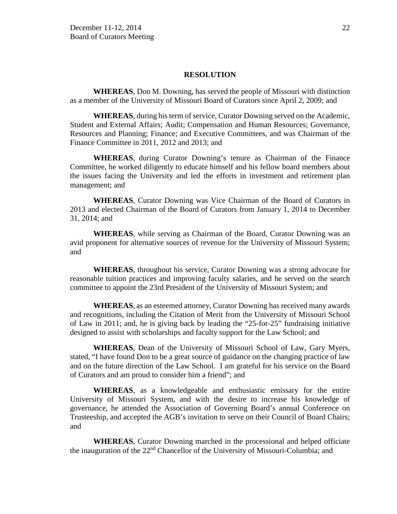### **RESOLUTION**

**WHEREAS**, Don M. Downing, has served the people of Missouri with distinction as a member of the University of Missouri Board of Curators since April 2, 2009; and

**WHEREAS**, during his term of service, Curator Downing served on the Academic, Student and External Affairs; Audit; Compensation and Human Resources; Governance, Resources and Planning; Finance; and Executive Committees, and was Chairman of the Finance Committee in 2011, 2012 and 2013; and

**WHEREAS**, during Curator Downing's tenure as Chairman of the Finance Committee, he worked diligently to educate himself and his fellow board members about the issues facing the University and led the efforts in investment and retirement plan management; and

**WHEREAS**, Curator Downing was Vice Chairman of the Board of Curators in 2013 and elected Chairman of the Board of Curators from January 1, 2014 to December 31, 2014; and

**WHEREAS**, while serving as Chairman of the Board, Curator Downing was an avid proponent for alternative sources of revenue for the University of Missouri System; and

**WHEREAS**, throughout his service*,* Curator Downing was a strong advocate for reasonable tuition practices and improving faculty salaries, and he served on the search committee to appoint the 23rd President of the University of Missouri System; and

**WHEREAS**, as an esteemed attorney, Curator Downing has received many awards and recognitions, including the Citation of Merit from the University of Missouri School of Law in 2011; and, he is giving back by leading the "25-for-25" fundraising initiative designed to assist with scholarships and faculty support for the Law School; and

**WHEREAS**, Dean of the University of Missouri School of Law, Gary Myers, stated, "I have found Don to be a great source of guidance on the changing practice of law and on the future direction of the Law School. I am grateful for his service on the Board of Curators and am proud to consider him a friend"; and

**WHEREAS**, as a knowledgeable and enthusiastic emissary for the entire University of Missouri System, and with the desire to increase his knowledge of governance, he attended the Association of Governing Board's annual Conference on Trusteeship, and accepted the AGB's invitation to serve on their Council of Board Chairs; and

**WHEREAS**, Curator Downing marched in the processional and helped officiate the inauguration of the  $22<sup>nd</sup>$  Chancellor of the University of Missouri-Columbia; and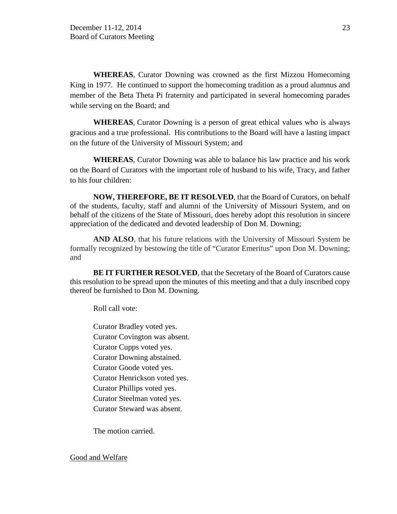**WHEREAS**, Curator Downing was crowned as the first Mizzou Homecoming King in 1977*.* He continued to support the homecoming tradition as a proud alumnus and member of the Beta Theta Pi fraternity and participated in several homecoming parades while serving on the Board; and

**WHEREAS**, Curator Downing is a person of great ethical values who is always gracious and a true professional. His contributions to the Board will have a lasting impact on the future of the University of Missouri System; and

**WHEREAS**, Curator Downing was able to balance his law practice and his work on the Board of Curators with the important role of husband to his wife, Tracy, and father to his four children:

**NOW, THEREFORE, BE IT RESOLVED**, that the Board of Curators, on behalf of the students, faculty, staff and alumni of the University of Missouri System, and on behalf of the citizens of the State of Missouri, does hereby adopt this resolution in sincere appreciation of the dedicated and devoted leadership of Don M. Downing;

**AND ALSO**, that his future relations with the University of Missouri System be formally recognized by bestowing the title of "Curator Emeritus" upon Don M. Downing; and

**BE IT FURTHER RESOLVED**, that the Secretary of the Board of Curators cause this resolution to be spread upon the minutes of this meeting and that a duly inscribed copy thereof be furnished to Don M. Downing.

Roll call vote:

Curator Bradley voted yes. Curator Covington was absent. Curator Cupps voted yes. Curator Downing abstained. Curator Goode voted yes. Curator Henrickson voted yes. Curator Phillips voted yes. Curator Steelman voted yes. Curator Steward was absent.

The motion carried.

Good and Welfare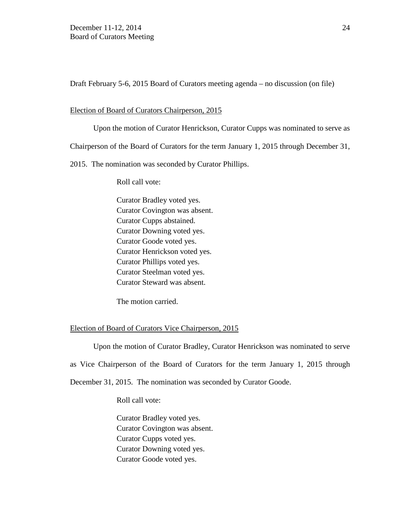Draft February 5-6, 2015 Board of Curators meeting agenda – no discussion (on file)

### Election of Board of Curators Chairperson, 2015

Upon the motion of Curator Henrickson, Curator Cupps was nominated to serve as Chairperson of the Board of Curators for the term January 1, 2015 through December 31, 2015. The nomination was seconded by Curator Phillips.

Roll call vote:

Curator Bradley voted yes. Curator Covington was absent. Curator Cupps abstained. Curator Downing voted yes. Curator Goode voted yes. Curator Henrickson voted yes. Curator Phillips voted yes. Curator Steelman voted yes. Curator Steward was absent.

The motion carried.

### Election of Board of Curators Vice Chairperson, 2015

Upon the motion of Curator Bradley, Curator Henrickson was nominated to serve as Vice Chairperson of the Board of Curators for the term January 1, 2015 through December 31, 2015. The nomination was seconded by Curator Goode.

Roll call vote:

Curator Bradley voted yes. Curator Covington was absent. Curator Cupps voted yes. Curator Downing voted yes. Curator Goode voted yes.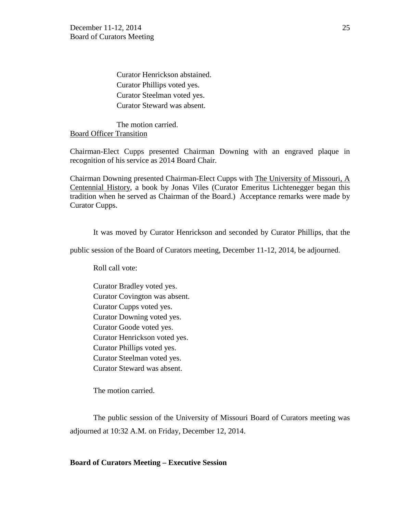Curator Henrickson abstained. Curator Phillips voted yes. Curator Steelman voted yes. Curator Steward was absent.

The motion carried. Board Officer Transition

Chairman-Elect Cupps presented Chairman Downing with an engraved plaque in recognition of his service as 2014 Board Chair.

Chairman Downing presented Chairman-Elect Cupps with The University of Missouri, A Centennial History, a book by Jonas Viles (Curator Emeritus Lichtenegger began this tradition when he served as Chairman of the Board.) Acceptance remarks were made by Curator Cupps.

It was moved by Curator Henrickson and seconded by Curator Phillips, that the

public session of the Board of Curators meeting, December 11-12, 2014, be adjourned.

Roll call vote:

Curator Bradley voted yes. Curator Covington was absent. Curator Cupps voted yes. Curator Downing voted yes. Curator Goode voted yes. Curator Henrickson voted yes. Curator Phillips voted yes. Curator Steelman voted yes. Curator Steward was absent.

The motion carried.

The public session of the University of Missouri Board of Curators meeting was adjourned at 10:32 A.M. on Friday, December 12, 2014.

### **Board of Curators Meeting – Executive Session**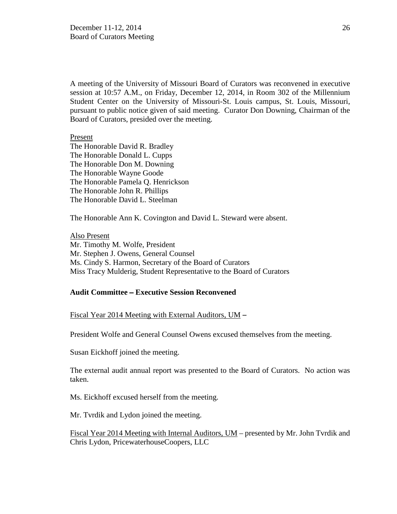A meeting of the University of Missouri Board of Curators was reconvened in executive session at 10:57 A.M., on Friday, December 12, 2014, in Room 302 of the Millennium Student Center on the University of Missouri-St. Louis campus, St. Louis, Missouri, pursuant to public notice given of said meeting. Curator Don Downing, Chairman of the Board of Curators, presided over the meeting.

### Present

The Honorable David R. Bradley The Honorable Donald L. Cupps The Honorable Don M. Downing The Honorable Wayne Goode The Honorable Pamela Q. Henrickson The Honorable John R. Phillips The Honorable David L. Steelman

The Honorable Ann K. Covington and David L. Steward were absent.

Also Present Mr. Timothy M. Wolfe, President Mr. Stephen J. Owens, General Counsel Ms. Cindy S. Harmon, Secretary of the Board of Curators Miss Tracy Mulderig, Student Representative to the Board of Curators

### **Audit Committee** – **Executive Session Reconvened**

Fiscal Year 2014 Meeting with External Auditors, UM –

President Wolfe and General Counsel Owens excused themselves from the meeting.

Susan Eickhoff joined the meeting.

The external audit annual report was presented to the Board of Curators. No action was taken.

Ms. Eickhoff excused herself from the meeting.

Mr. Tvrdik and Lydon joined the meeting.

Fiscal Year 2014 Meeting with Internal Auditors, UM – presented by Mr. John Tvrdik and Chris Lydon, PricewaterhouseCoopers, LLC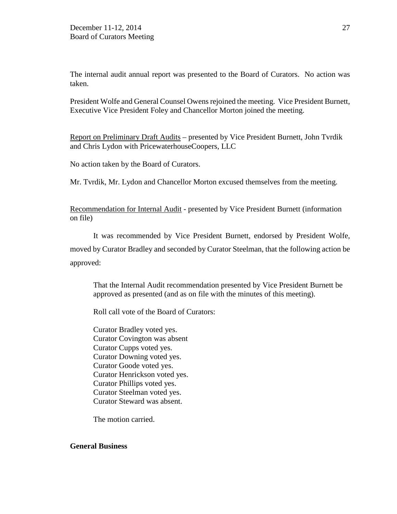The internal audit annual report was presented to the Board of Curators. No action was taken.

President Wolfe and General Counsel Owens rejoined the meeting. Vice President Burnett, Executive Vice President Foley and Chancellor Morton joined the meeting.

Report on Preliminary Draft Audits – presented by Vice President Burnett, John Tvrdik and Chris Lydon with PricewaterhouseCoopers, LLC

No action taken by the Board of Curators.

Mr. Tvrdik, Mr. Lydon and Chancellor Morton excused themselves from the meeting.

Recommendation for Internal Audit - presented by Vice President Burnett (information on file)

It was recommended by Vice President Burnett, endorsed by President Wolfe, moved by Curator Bradley and seconded by Curator Steelman, that the following action be approved:

That the Internal Audit recommendation presented by Vice President Burnett be approved as presented (and as on file with the minutes of this meeting).

Roll call vote of the Board of Curators:

Curator Bradley voted yes. Curator Covington was absent Curator Cupps voted yes. Curator Downing voted yes. Curator Goode voted yes. Curator Henrickson voted yes. Curator Phillips voted yes. Curator Steelman voted yes. Curator Steward was absent.

The motion carried.

# **General Business**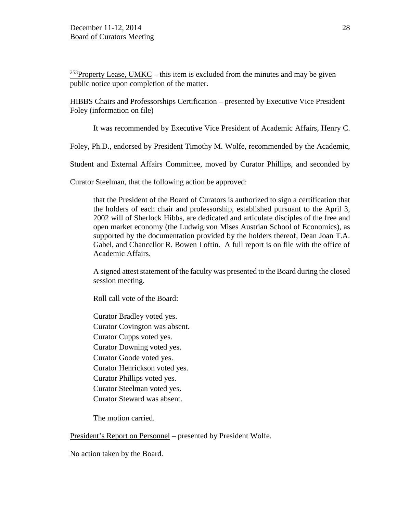<sup>253</sup>Property Lease, UMKC – this item is excluded from the minutes and may be given public notice upon completion of the matter.

HIBBS Chairs and Professorships Certification – presented by Executive Vice President Foley (information on file)

It was recommended by Executive Vice President of Academic Affairs, Henry C.

Foley, Ph.D., endorsed by President Timothy M. Wolfe, recommended by the Academic,

Student and External Affairs Committee, moved by Curator Phillips, and seconded by

Curator Steelman, that the following action be approved:

that the President of the Board of Curators is authorized to sign a certification that the holders of each chair and professorship, established pursuant to the April 3, 2002 will of Sherlock Hibbs, are dedicated and articulate disciples of the free and open market economy (the Ludwig von Mises Austrian School of Economics), as supported by the documentation provided by the holders thereof, Dean Joan T.A. Gabel, and Chancellor R. Bowen Loftin. A full report is on file with the office of Academic Affairs.

A signed attest statement of the faculty was presented to the Board during the closed session meeting.

Roll call vote of the Board:

Curator Bradley voted yes. Curator Covington was absent. Curator Cupps voted yes. Curator Downing voted yes. Curator Goode voted yes. Curator Henrickson voted yes. Curator Phillips voted yes. Curator Steelman voted yes. Curator Steward was absent.

The motion carried.

President's Report on Personnel – presented by President Wolfe.

No action taken by the Board.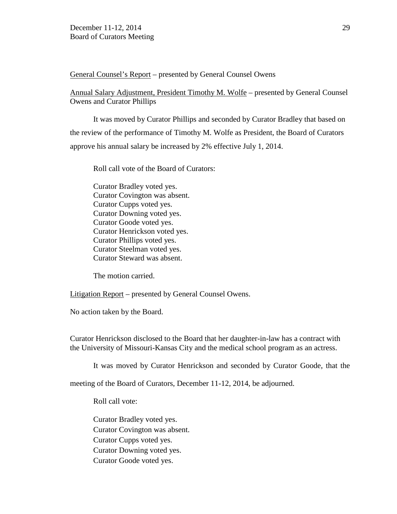General Counsel's Report – presented by General Counsel Owens

Annual Salary Adjustment, President Timothy M. Wolfe – presented by General Counsel Owens and Curator Phillips

It was moved by Curator Phillips and seconded by Curator Bradley that based on the review of the performance of Timothy M. Wolfe as President, the Board of Curators approve his annual salary be increased by 2% effective July 1, 2014.

Roll call vote of the Board of Curators:

Curator Bradley voted yes. Curator Covington was absent. Curator Cupps voted yes. Curator Downing voted yes. Curator Goode voted yes. Curator Henrickson voted yes. Curator Phillips voted yes. Curator Steelman voted yes. Curator Steward was absent.

The motion carried.

Litigation Report – presented by General Counsel Owens.

No action taken by the Board.

Curator Henrickson disclosed to the Board that her daughter-in-law has a contract with the University of Missouri-Kansas City and the medical school program as an actress.

It was moved by Curator Henrickson and seconded by Curator Goode, that the

meeting of the Board of Curators, December 11-12, 2014, be adjourned.

Roll call vote:

Curator Bradley voted yes. Curator Covington was absent. Curator Cupps voted yes. Curator Downing voted yes. Curator Goode voted yes.